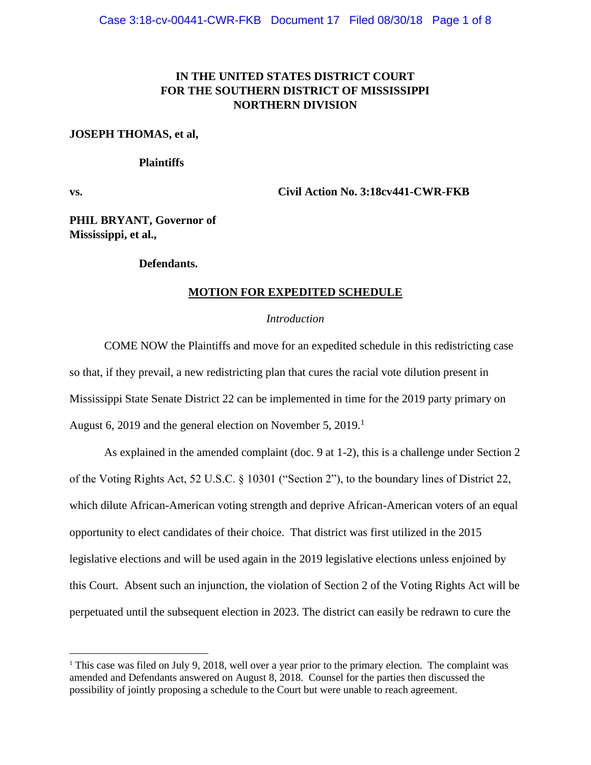# **IN THE UNITED STATES DISTRICT COURT FOR THE SOUTHERN DISTRICT OF MISSISSIPPI NORTHERN DIVISION**

### **JOSEPH THOMAS, et al,**

### **Plaintiffs**

 $\overline{a}$ 

**vs. Civil Action No. 3:18cv441-CWR-FKB**

**PHIL BRYANT, Governor of Mississippi, et al.,**

#### **Defendants.**

### **MOTION FOR EXPEDITED SCHEDULE**

### *Introduction*

COME NOW the Plaintiffs and move for an expedited schedule in this redistricting case so that, if they prevail, a new redistricting plan that cures the racial vote dilution present in Mississippi State Senate District 22 can be implemented in time for the 2019 party primary on August 6, 2019 and the general election on November 5, 2019.<sup>1</sup>

As explained in the amended complaint (doc. 9 at 1-2), this is a challenge under Section 2 of the Voting Rights Act, 52 U.S.C. § 10301 ("Section 2"), to the boundary lines of District 22, which dilute African-American voting strength and deprive African-American voters of an equal opportunity to elect candidates of their choice. That district was first utilized in the 2015 legislative elections and will be used again in the 2019 legislative elections unless enjoined by this Court. Absent such an injunction, the violation of Section 2 of the Voting Rights Act will be perpetuated until the subsequent election in 2023. The district can easily be redrawn to cure the

<sup>&</sup>lt;sup>1</sup> This case was filed on July 9, 2018, well over a year prior to the primary election. The complaint was amended and Defendants answered on August 8, 2018. Counsel for the parties then discussed the possibility of jointly proposing a schedule to the Court but were unable to reach agreement.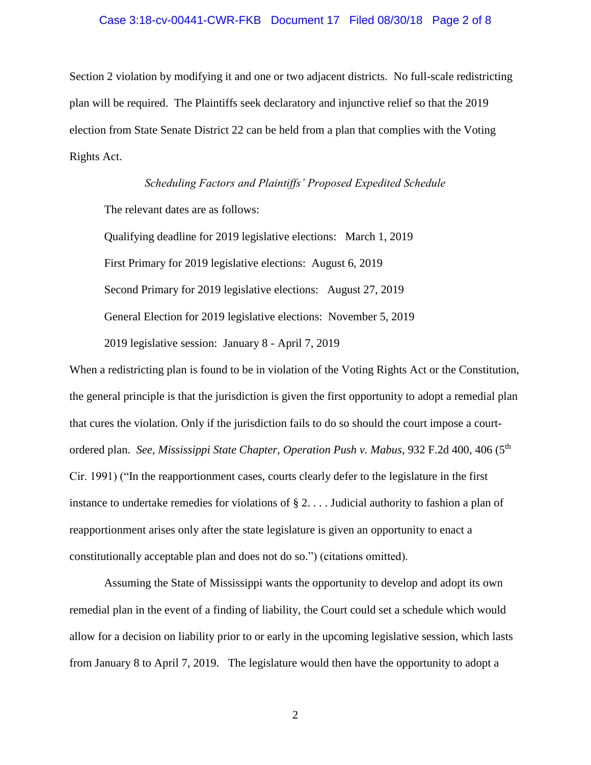#### Case 3:18-cv-00441-CWR-FKB Document 17 Filed 08/30/18 Page 2 of 8

Section 2 violation by modifying it and one or two adjacent districts. No full-scale redistricting plan will be required. The Plaintiffs seek declaratory and injunctive relief so that the 2019 election from State Senate District 22 can be held from a plan that complies with the Voting Rights Act.

*Scheduling Factors and Plaintiffs' Proposed Expedited Schedule* The relevant dates are as follows: Qualifying deadline for 2019 legislative elections: March 1, 2019 First Primary for 2019 legislative elections: August 6, 2019 Second Primary for 2019 legislative elections: August 27, 2019 General Election for 2019 legislative elections: November 5, 2019 2019 legislative session: January 8 - April 7, 2019

When a redistricting plan is found to be in violation of the Voting Rights Act or the Constitution, the general principle is that the jurisdiction is given the first opportunity to adopt a remedial plan that cures the violation. Only if the jurisdiction fails to do so should the court impose a courtordered plan. *See, Mississippi State Chapter, Operation Push v. Mabus*, 932 F.2d 400, 406 (5th Cir. 1991) ("In the reapportionment cases, courts clearly defer to the legislature in the first instance to undertake remedies for violations of § 2. . . . Judicial authority to fashion a plan of reapportionment arises only after the state legislature is given an opportunity to enact a constitutionally acceptable plan and does not do so.") (citations omitted).

Assuming the State of Mississippi wants the opportunity to develop and adopt its own remedial plan in the event of a finding of liability, the Court could set a schedule which would allow for a decision on liability prior to or early in the upcoming legislative session, which lasts from January 8 to April 7, 2019. The legislature would then have the opportunity to adopt a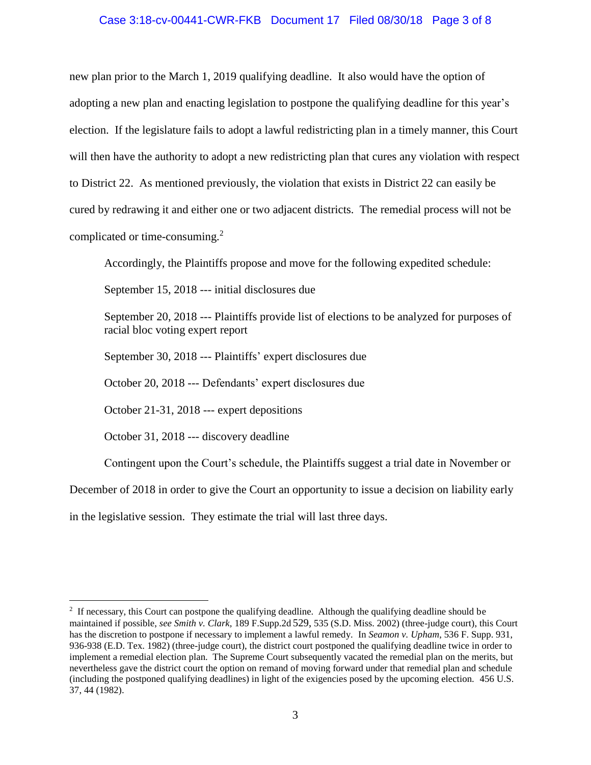### Case 3:18-cv-00441-CWR-FKB Document 17 Filed 08/30/18 Page 3 of 8

new plan prior to the March 1, 2019 qualifying deadline. It also would have the option of adopting a new plan and enacting legislation to postpone the qualifying deadline for this year's election. If the legislature fails to adopt a lawful redistricting plan in a timely manner, this Court will then have the authority to adopt a new redistricting plan that cures any violation with respect to District 22. As mentioned previously, the violation that exists in District 22 can easily be cured by redrawing it and either one or two adjacent districts. The remedial process will not be complicated or time-consuming. $2$ 

Accordingly, the Plaintiffs propose and move for the following expedited schedule:

September 15, 2018 --- initial disclosures due

September 20, 2018 --- Plaintiffs provide list of elections to be analyzed for purposes of racial bloc voting expert report

September 30, 2018 --- Plaintiffs' expert disclosures due

October 20, 2018 --- Defendants' expert disclosures due

October 21-31, 2018 --- expert depositions

October 31, 2018 --- discovery deadline

 $\overline{a}$ 

Contingent upon the Court's schedule, the Plaintiffs suggest a trial date in November or

December of 2018 in order to give the Court an opportunity to issue a decision on liability early

in the legislative session. They estimate the trial will last three days.

 $2$  If necessary, this Court can postpone the qualifying deadline. Although the qualifying deadline should be maintained if possible, *see Smith v. Clark,* 189 F.Supp.2d 529, 535 (S.D. Miss. 2002) (three-judge court), this Court has the discretion to postpone if necessary to implement a lawful remedy. In *Seamon v. Upham*, 536 F. Supp. 931, 936-938 (E.D. Tex. 1982) (three-judge court), the district court postponed the qualifying deadline twice in order to implement a remedial election plan. The Supreme Court subsequently vacated the remedial plan on the merits, but nevertheless gave the district court the option on remand of moving forward under that remedial plan and schedule (including the postponed qualifying deadlines) in light of the exigencies posed by the upcoming election. 456 U.S. 37, 44 (1982).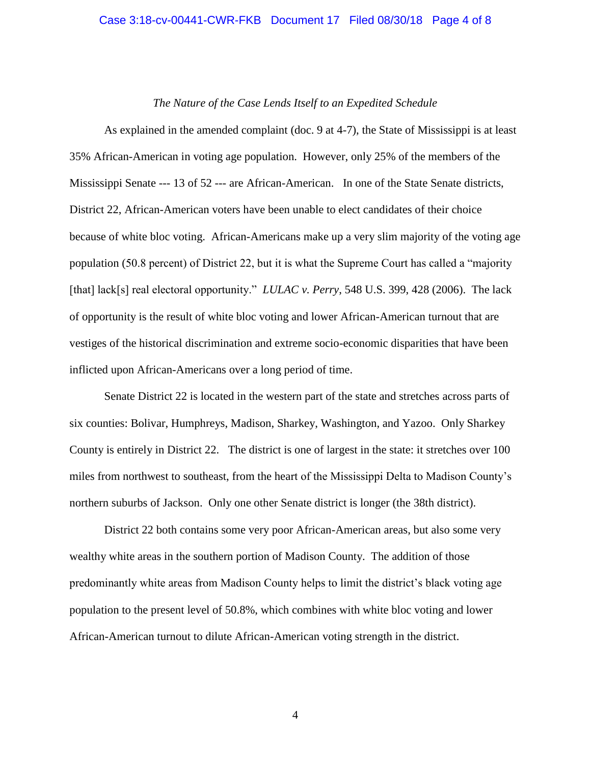#### Case 3:18-cv-00441-CWR-FKB Document 17 Filed 08/30/18 Page 4 of 8

#### *The Nature of the Case Lends Itself to an Expedited Schedule*

As explained in the amended complaint (doc. 9 at 4-7), the State of Mississippi is at least 35% African-American in voting age population. However, only 25% of the members of the Mississippi Senate --- 13 of 52 --- are African-American. In one of the State Senate districts, District 22, African-American voters have been unable to elect candidates of their choice because of white bloc voting. African-Americans make up a very slim majority of the voting age population (50.8 percent) of District 22, but it is what the Supreme Court has called a "majority [that] lack[s] real electoral opportunity." *LULAC v. Perry*, 548 U.S. 399, 428 (2006). The lack of opportunity is the result of white bloc voting and lower African-American turnout that are vestiges of the historical discrimination and extreme socio-economic disparities that have been inflicted upon African-Americans over a long period of time.

Senate District 22 is located in the western part of the state and stretches across parts of six counties: Bolivar, Humphreys, Madison, Sharkey, Washington, and Yazoo. Only Sharkey County is entirely in District 22. The district is one of largest in the state: it stretches over 100 miles from northwest to southeast, from the heart of the Mississippi Delta to Madison County's northern suburbs of Jackson. Only one other Senate district is longer (the 38th district).

District 22 both contains some very poor African-American areas, but also some very wealthy white areas in the southern portion of Madison County. The addition of those predominantly white areas from Madison County helps to limit the district's black voting age population to the present level of 50.8%, which combines with white bloc voting and lower African-American turnout to dilute African-American voting strength in the district.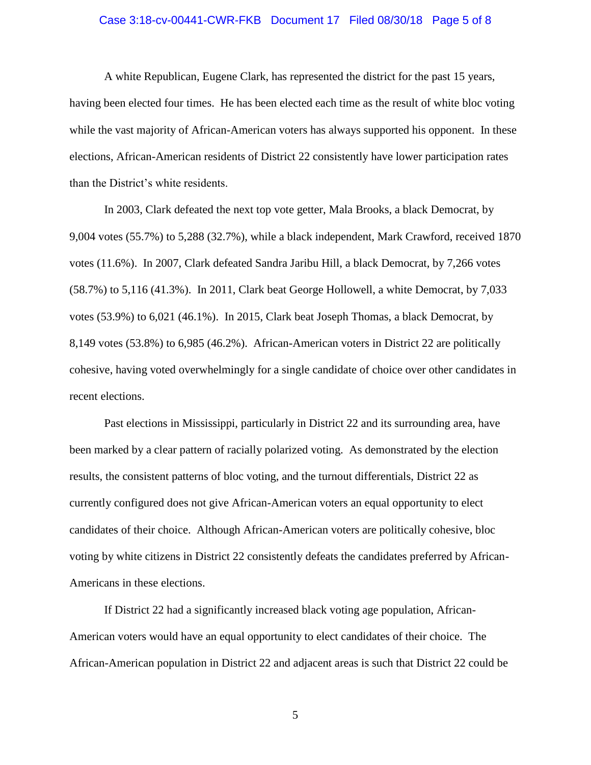#### Case 3:18-cv-00441-CWR-FKB Document 17 Filed 08/30/18 Page 5 of 8

A white Republican, Eugene Clark, has represented the district for the past 15 years, having been elected four times. He has been elected each time as the result of white bloc voting while the vast majority of African-American voters has always supported his opponent. In these elections, African-American residents of District 22 consistently have lower participation rates than the District's white residents.

In 2003, Clark defeated the next top vote getter, Mala Brooks, a black Democrat, by 9,004 votes (55.7%) to 5,288 (32.7%), while a black independent, Mark Crawford, received 1870 votes (11.6%). In 2007, Clark defeated Sandra Jaribu Hill, a black Democrat, by 7,266 votes (58.7%) to 5,116 (41.3%). In 2011, Clark beat George Hollowell, a white Democrat, by 7,033 votes (53.9%) to 6,021 (46.1%). In 2015, Clark beat Joseph Thomas, a black Democrat, by 8,149 votes (53.8%) to 6,985 (46.2%). African-American voters in District 22 are politically cohesive, having voted overwhelmingly for a single candidate of choice over other candidates in recent elections.

Past elections in Mississippi, particularly in District 22 and its surrounding area, have been marked by a clear pattern of racially polarized voting. As demonstrated by the election results, the consistent patterns of bloc voting, and the turnout differentials, District 22 as currently configured does not give African-American voters an equal opportunity to elect candidates of their choice. Although African-American voters are politically cohesive, bloc voting by white citizens in District 22 consistently defeats the candidates preferred by African-Americans in these elections.

If District 22 had a significantly increased black voting age population, African-American voters would have an equal opportunity to elect candidates of their choice. The African-American population in District 22 and adjacent areas is such that District 22 could be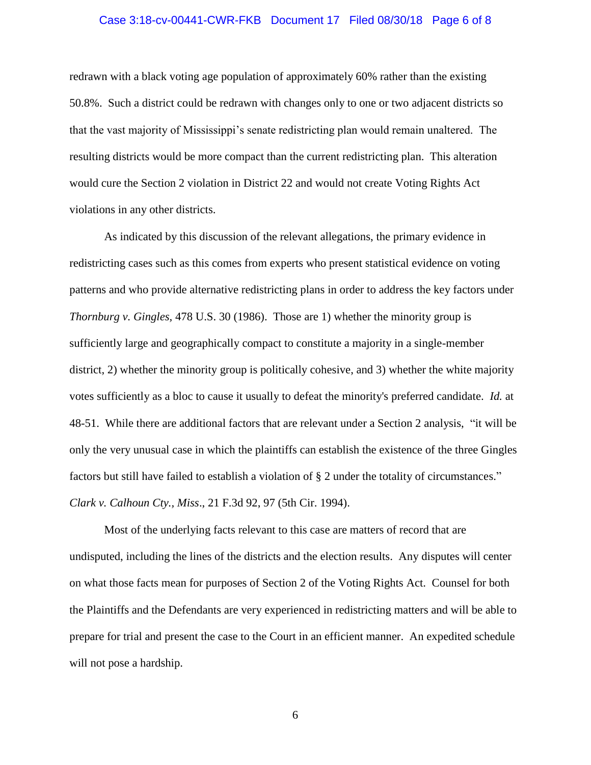## Case 3:18-cv-00441-CWR-FKB Document 17 Filed 08/30/18 Page 6 of 8

redrawn with a black voting age population of approximately 60% rather than the existing 50.8%. Such a district could be redrawn with changes only to one or two adjacent districts so that the vast majority of Mississippi's senate redistricting plan would remain unaltered. The resulting districts would be more compact than the current redistricting plan. This alteration would cure the Section 2 violation in District 22 and would not create Voting Rights Act violations in any other districts.

As indicated by this discussion of the relevant allegations, the primary evidence in redistricting cases such as this comes from experts who present statistical evidence on voting patterns and who provide alternative redistricting plans in order to address the key factors under *Thornburg v. Gingles,* 478 U.S. 30 (1986). Those are 1) whether the minority group is sufficiently large and geographically compact to constitute a majority in a single-member district, 2) whether the minority group is politically cohesive, and 3) whether the white majority votes sufficiently as a bloc to cause it usually to defeat the minority's preferred candidate. *Id.* at 48-51. While there are additional factors that are relevant under a Section 2 analysis, "it will be only the very unusual case in which the plaintiffs can establish the existence of the three Gingles factors but still have failed to establish a violation of § 2 under the totality of circumstances." *Clark v. Calhoun Cty., Miss*., 21 F.3d 92, 97 (5th Cir. 1994).

Most of the underlying facts relevant to this case are matters of record that are undisputed, including the lines of the districts and the election results. Any disputes will center on what those facts mean for purposes of Section 2 of the Voting Rights Act. Counsel for both the Plaintiffs and the Defendants are very experienced in redistricting matters and will be able to prepare for trial and present the case to the Court in an efficient manner. An expedited schedule will not pose a hardship.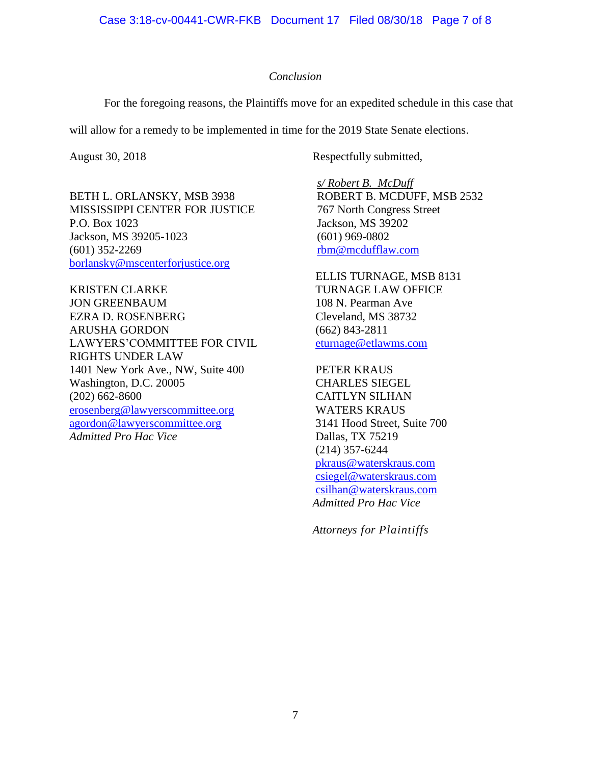### *Conclusion*

For the foregoing reasons, the Plaintiffs move for an expedited schedule in this case that

will allow for a remedy to be implemented in time for the 2019 State Senate elections.

BETH L. ORLANSKY, MSB 3938 MISSISSIPPI CENTER FOR JUSTICE P.O. Box 1023 Jackson, MS 39205-1023 (601) 352-2269 [borlansky@mscenterforjustice.org](mailto:borlansky@mscenterforjustice.org)

KRISTEN CLARKE JON GREENBAUM EZRA D. ROSENBERG ARUSHA GORDON LAWYERS'COMMITTEE FOR CIVIL RIGHTS UNDER LAW 1401 New York Ave., NW, Suite 400 Washington, D.C. 20005 (202) 662-8600 [erosenberg@lawyerscommittee.org](mailto:erosenberg@lawyerscommittee.org) [agordon@lawyerscommittee.org](mailto:agordon@lawyerscommittee.org) *Admitted Pro Hac Vice*

August 30, 2018 Respectfully submitted,

*s/ Robert B. McDuff* ROBERT B. MCDUFF, MSB 2532 767 North Congress Street Jackson, MS 39202 (601) 969-0802 [rbm@mcdufflaw.com](mailto:rbm@mcdufflaw.com)

ELLIS TURNAGE, MSB 8131 TURNAGE LAW OFFICE 108 N. Pearman Ave Cleveland, MS 38732 (662) 843-2811 [eturnage@etlawms.com](mailto:eturnage@etlawms.com)

PETER KRAUS CHARLES SIEGEL CAITLYN SILHAN WATERS KRAUS 3141 Hood Street, Suite 700 Dallas, TX 75219 (214) 357-6244 [pkraus@waterskraus.com](mailto:pkraus@waterskraus.com) [csiegel@waterskraus.com](mailto:csiegel@waterskraus.com) [csilhan@waterskraus.com](mailto:csilhan@waterskraus.com) *Admitted Pro Hac Vice*

*Attorneys for Plaintiffs*